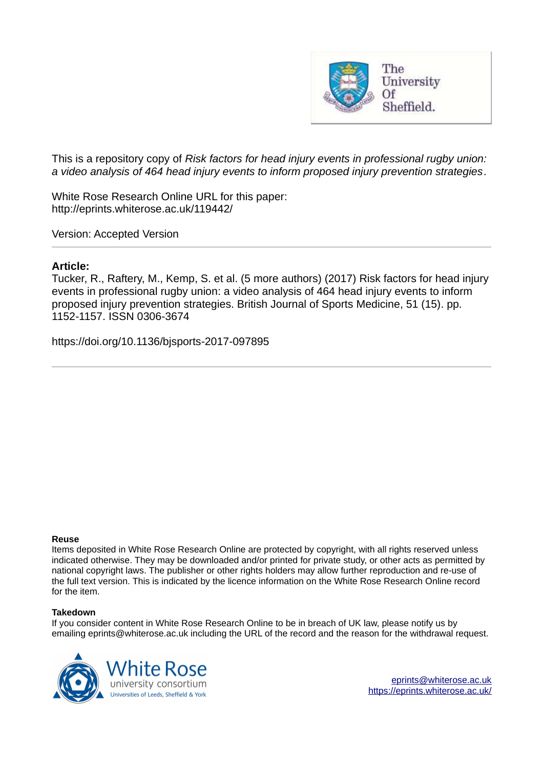

This is a repository copy of *Risk factors for head injury events in professional rugby union: a video analysis of 464 head injury events to inform proposed injury prevention strategies*.

White Rose Research Online URL for this paper: http://eprints.whiterose.ac.uk/119442/

Version: Accepted Version

### **Article:**

Tucker, R., Raftery, M., Kemp, S. et al. (5 more authors) (2017) Risk factors for head injury events in professional rugby union: a video analysis of 464 head injury events to inform proposed injury prevention strategies. British Journal of Sports Medicine, 51 (15). pp. 1152-1157. ISSN 0306-3674

https://doi.org/10.1136/bjsports-2017-097895

#### **Reuse**

Items deposited in White Rose Research Online are protected by copyright, with all rights reserved unless indicated otherwise. They may be downloaded and/or printed for private study, or other acts as permitted by national copyright laws. The publisher or other rights holders may allow further reproduction and re-use of the full text version. This is indicated by the licence information on the White Rose Research Online record for the item.

#### **Takedown**

If you consider content in White Rose Research Online to be in breach of UK law, please notify us by emailing eprints@whiterose.ac.uk including the URL of the record and the reason for the withdrawal request.

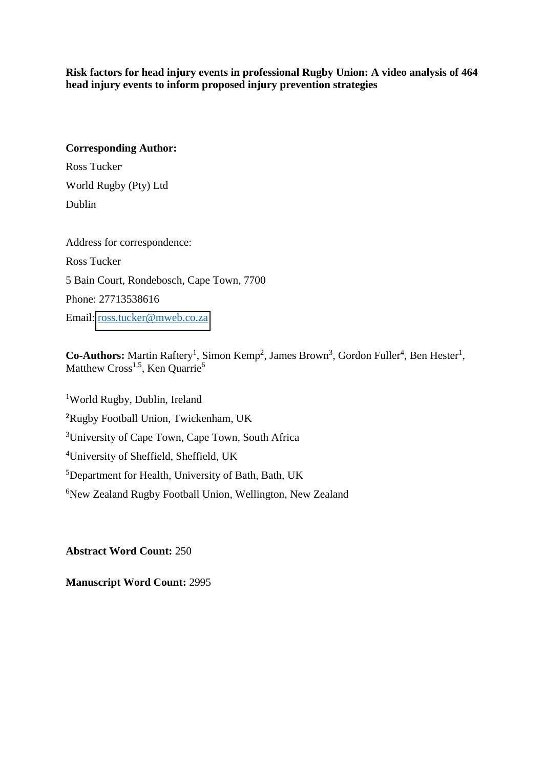**Risk factors for head injury events in professional Rugby Union: A video analysis of 464 head injury events to inform proposed injury prevention strategies** 

### **Corresponding Author:**

Ross Tucker, World Rugby (Pty) Ltd Dublin

Address for correspondence: Ross Tucker 5 Bain Court, Rondebosch, Cape Town, 7700 Phone: 27713538616 Email: [ross.tucker@mweb.co.za](mailto:ross.tucker@mweb.co.za)

## Co-Authors: Martin Raftery<sup>1</sup>, Simon Kemp<sup>2</sup>, James Brown<sup>3</sup>, Gordon Fuller<sup>4</sup>, Ben Hester<sup>1</sup>, Matthew Cross<sup>1,5</sup>, Ken Quarrie<sup>6</sup>

World Rugby, Dublin, Ireland Rugby Football Union, Twickenham, UK University of Cape Town, Cape Town, South Africa University of Sheffield, Sheffield, UK Department for Health, University of Bath, Bath, UK <sup>6</sup>New Zealand Rugby Football Union, Wellington, New Zealand

**Abstract Word Count:** 250

**Manuscript Word Count:** 2995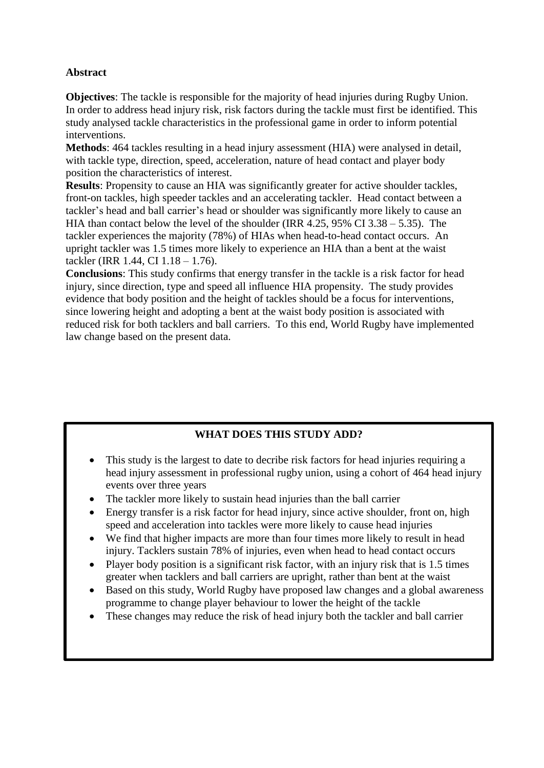## **Abstract**

**Objectives**: The tackle is responsible for the majority of head injuries during Rugby Union. In order to address head injury risk, risk factors during the tackle must first be identified. This study analysed tackle characteristics in the professional game in order to inform potential interventions.

**Methods**: 464 tackles resulting in a head injury assessment (HIA) were analysed in detail, with tackle type, direction, speed, acceleration, nature of head contact and player body position the characteristics of interest.

**Results**: Propensity to cause an HIA was significantly greater for active shoulder tackles, front-on tackles, high speeder tackles and an accelerating tackler. Head contact between a tackler's head and ball carrier's head or shoulder was significantly more likely to cause an HIA than contact below the level of the shoulder (IRR 4.25, 95% CI 3.38 – 5.35). The tackler experiences the majority (78%) of HIAs when head-to-head contact occurs. An upright tackler was 1.5 times more likely to experience an HIA than a bent at the waist tackler (IRR 1.44, CI 1.18 – 1.76).

**Conclusions**: This study confirms that energy transfer in the tackle is a risk factor for head injury, since direction, type and speed all influence HIA propensity. The study provides evidence that body position and the height of tackles should be a focus for interventions, since lowering height and adopting a bent at the waist body position is associated with reduced risk for both tacklers and ball carriers. To this end, World Rugby have implemented law change based on the present data.

# **WHAT DOES THIS STUDY ADD?**

- This study is the largest to date to decribe risk factors for head injuries requiring a head injury assessment in professional rugby union, using a cohort of 464 head injury events over three years
- The tackler more likely to sustain head injuries than the ball carrier
- Energy transfer is a risk factor for head injury, since active shoulder, front on, high speed and acceleration into tackles were more likely to cause head injuries
- We find that higher impacts are more than four times more likely to result in head injury. Tacklers sustain 78% of injuries, even when head to head contact occurs
- Player body position is a significant risk factor, with an injury risk that is 1.5 times greater when tacklers and ball carriers are upright, rather than bent at the waist
- Based on this study, World Rugby have proposed law changes and a global awareness programme to change player behaviour to lower the height of the tackle
- These changes may reduce the risk of head injury both the tackler and ball carrier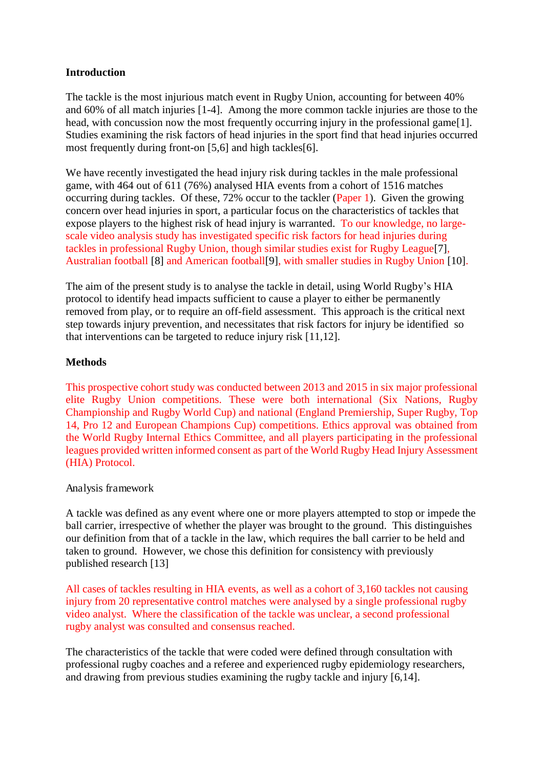## **Introduction**

The tackle is the most injurious match event in Rugby Union, accounting for between 40% and 60% of all match injuries [1-4]. Among the more common tackle injuries are those to the head, with concussion now the most frequently occurring injury in the professional game[1]. Studies examining the risk factors of head injuries in the sport find that head injuries occurred most frequently during front-on [5,6] and high tackles[6].

We have recently investigated the head injury risk during tackles in the male professional game, with 464 out of 611 (76%) analysed HIA events from a cohort of 1516 matches occurring during tackles. Of these, 72% occur to the tackler (Paper 1). Given the growing concern over head injuries in sport, a particular focus on the characteristics of tackles that expose players to the highest risk of head injury is warranted. To our knowledge, no largescale video analysis study has investigated specific risk factors for head injuries during tackles in professional Rugby Union, though similar studies exist for Rugby League[7], Australian football [8] and American football[9], with smaller studies in Rugby Union [10].

The aim of the present study is to analyse the tackle in detail, using World Rugby's HIA protocol to identify head impacts sufficient to cause a player to either be permanently removed from play, or to require an off-field assessment. This approach is the critical next step towards injury prevention, and necessitates that risk factors for injury be identified so that interventions can be targeted to reduce injury risk [11,12].

## **Methods**

This prospective cohort study was conducted between 2013 and 2015 in six major professional elite Rugby Union competitions. These were both international (Six Nations, Rugby Championship and Rugby World Cup) and national (England Premiership, Super Rugby, Top 14, Pro 12 and European Champions Cup) competitions. Ethics approval was obtained from the World Rugby Internal Ethics Committee, and all players participating in the professional leagues provided written informed consent as part of the World Rugby Head Injury Assessment (HIA) Protocol.

Analysis framework

A tackle was defined as any event where one or more players attempted to stop or impede the ball carrier, irrespective of whether the player was brought to the ground. This distinguishes our definition from that of a tackle in the law, which requires the ball carrier to be held and taken to ground. However, we chose this definition for consistency with previously published research [13]

All cases of tackles resulting in HIA events, as well as a cohort of 3,160 tackles not causing injury from 20 representative control matches were analysed by a single professional rugby video analyst. Where the classification of the tackle was unclear, a second professional rugby analyst was consulted and consensus reached.

The characteristics of the tackle that were coded were defined through consultation with professional rugby coaches and a referee and experienced rugby epidemiology researchers, and drawing from previous studies examining the rugby tackle and injury [6,14].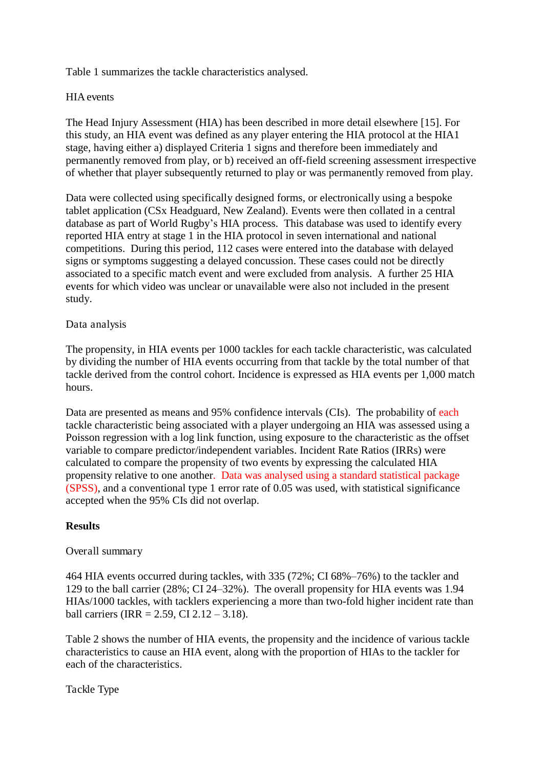Table 1 summarizes the tackle characteristics analysed.

## HIA events

The Head Injury Assessment (HIA) has been described in more detail elsewhere [15]. For this study, an HIA event was defined as any player entering the HIA protocol at the HIA1 stage, having either a) displayed Criteria 1 signs and therefore been immediately and permanently removed from play, or b) received an off-field screening assessment irrespective of whether that player subsequently returned to play or was permanently removed from play.

Data were collected using specifically designed forms, or electronically using a bespoke tablet application (CSx Headguard, New Zealand). Events were then collated in a central database as part of World Rugby's HIA process. This database was used to identify every reported HIA entry at stage 1 in the HIA protocol in seven international and national competitions. During this period, 112 cases were entered into the database with delayed signs or symptoms suggesting a delayed concussion. These cases could not be directly associated to a specific match event and were excluded from analysis. A further 25 HIA events for which video was unclear or unavailable were also not included in the present study.

### Data analysis

The propensity, in HIA events per 1000 tackles for each tackle characteristic, was calculated by dividing the number of HIA events occurring from that tackle by the total number of that tackle derived from the control cohort. Incidence is expressed as HIA events per 1,000 match hours.

Data are presented as means and 95% confidence intervals (CIs). The probability of each tackle characteristic being associated with a player undergoing an HIA was assessed using a Poisson regression with a log link function, using exposure to the characteristic as the offset variable to compare predictor/independent variables. Incident Rate Ratios (IRRs) were calculated to compare the propensity of two events by expressing the calculated HIA propensity relative to one another. Data was analysed using a standard statistical package (SPSS), and a conventional type 1 error rate of 0.05 was used, with statistical significance accepted when the 95% CIs did not overlap.

## **Results**

### Overall summary

464 HIA events occurred during tackles, with 335 (72%; CI 68%–76%) to the tackler and 129 to the ball carrier (28%; CI 24–32%). The overall propensity for HIA events was 1.94 HIAs/1000 tackles, with tacklers experiencing a more than two-fold higher incident rate than ball carriers (IRR =  $2.59$ , CI  $2.12 - 3.18$ ).

Table 2 shows the number of HIA events, the propensity and the incidence of various tackle characteristics to cause an HIA event, along with the proportion of HIAs to the tackler for each of the characteristics.

Tackle Type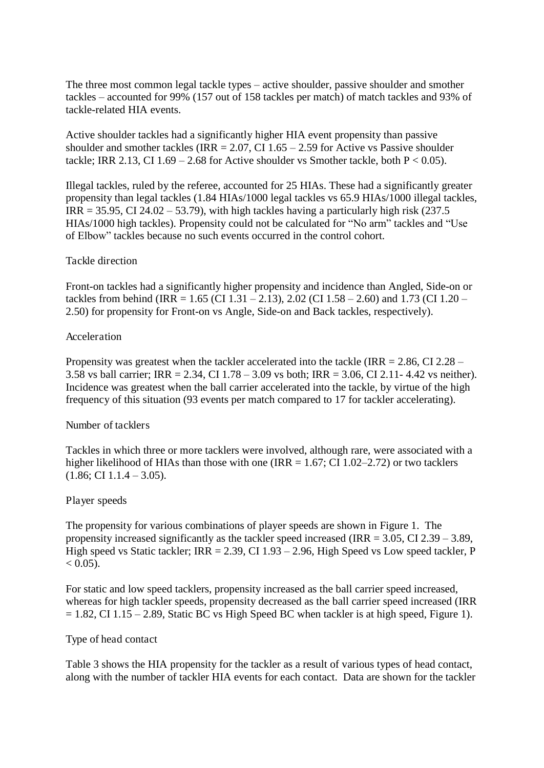The three most common legal tackle types – active shoulder, passive shoulder and smother tackles – accounted for 99% (157 out of 158 tackles per match) of match tackles and 93% of tackle-related HIA events.

Active shoulder tackles had a significantly higher HIA event propensity than passive shoulder and smother tackles (IRR =  $2.07$ , CI 1.65 –  $2.59$  for Active vs Passive shoulder tackle; IRR 2.13, CI 1.69 – 2.68 for Active shoulder vs Smother tackle, both  $P < 0.05$ ).

Illegal tackles, ruled by the referee, accounted for 25 HIAs. These had a significantly greater propensity than legal tackles (1.84 HIAs/1000 legal tackles vs 65.9 HIAs/1000 illegal tackles,  $IRR = 35.95, CI 24.02 - 53.79$ , with high tackles having a particularly high risk (237.5) HIAs/1000 high tackles). Propensity could not be calculated for "No arm" tackles and "Use of Elbow" tackles because no such events occurred in the control cohort.

### Tackle direction

Front-on tackles had a significantly higher propensity and incidence than Angled, Side-on or tackles from behind (IRR =  $1.65$  (CI 1.31 –  $2.13$ ),  $2.02$  (CI 1.58 –  $2.60$ ) and  $1.73$  (CI 1.20 – 2.50) for propensity for Front-on vs Angle, Side-on and Back tackles, respectively).

### Acceleration

Propensity was greatest when the tackler accelerated into the tackle (IRR  $= 2.86$ , CI 2.28 – 3.58 vs ball carrier; IRR = 2.34, CI 1.78 – 3.09 vs both; IRR = 3.06, CI 2.11- 4.42 vs neither). Incidence was greatest when the ball carrier accelerated into the tackle, by virtue of the high frequency of this situation (93 events per match compared to 17 for tackler accelerating).

### Number of tacklers

Tackles in which three or more tacklers were involved, although rare, were associated with a higher likelihood of HIAs than those with one (IRR  $= 1.67$ ; CI 1.02–2.72) or two tacklers  $(1.86; \text{CI } 1.1.4 - 3.05).$ 

### Player speeds

The propensity for various combinations of player speeds are shown in Figure 1. The propensity increased significantly as the tackler speed increased (IRR  $= 3.05$ , CI 2.39 – 3.89, High speed vs Static tackler;  $IRR = 2.39$ , CI 1.93 – 2.96, High Speed vs Low speed tackler, P  $< 0.05$ ).

For static and low speed tacklers, propensity increased as the ball carrier speed increased, whereas for high tackler speeds, propensity decreased as the ball carrier speed increased (IRR  $= 1.82$ , CI 1.15 – 2.89, Static BC vs High Speed BC when tackler is at high speed, Figure 1).

### Type of head contact

Table 3 shows the HIA propensity for the tackler as a result of various types of head contact, along with the number of tackler HIA events for each contact. Data are shown for the tackler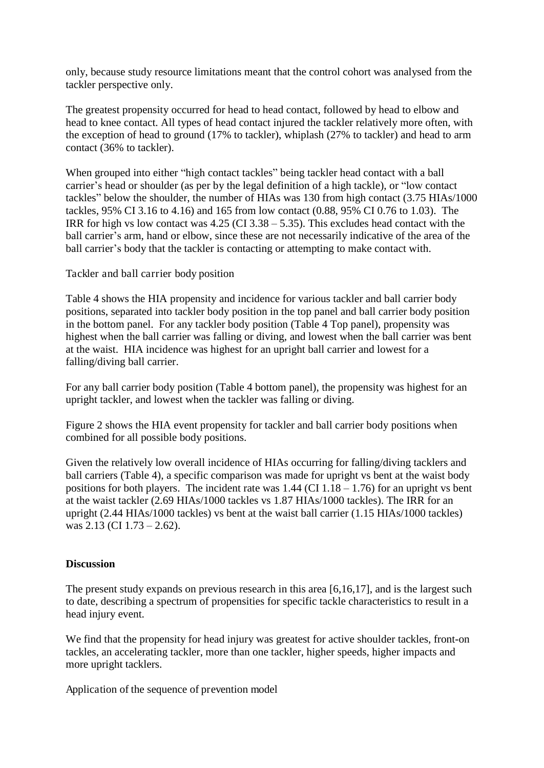only, because study resource limitations meant that the control cohort was analysed from the tackler perspective only.

The greatest propensity occurred for head to head contact, followed by head to elbow and head to knee contact. All types of head contact injured the tackler relatively more often, with the exception of head to ground (17% to tackler), whiplash (27% to tackler) and head to arm contact (36% to tackler).

When grouped into either "high contact tackles" being tackler head contact with a ball carrier's head or shoulder (as per by the legal definition of a high tackle), or "low contact tackles" below the shoulder, the number of HIAs was 130 from high contact (3.75 HIAs/1000 tackles, 95% CI 3.16 to 4.16) and 165 from low contact (0.88, 95% CI 0.76 to 1.03). The IRR for high vs low contact was  $4.25$  (CI  $3.38 - 5.35$ ). This excludes head contact with the ball carrier's arm, hand or elbow, since these are not necessarily indicative of the area of the ball carrier's body that the tackler is contacting or attempting to make contact with.

Tackler and ball carrier body position

Table 4 shows the HIA propensity and incidence for various tackler and ball carrier body positions, separated into tackler body position in the top panel and ball carrier body position in the bottom panel. For any tackler body position (Table 4 Top panel), propensity was highest when the ball carrier was falling or diving, and lowest when the ball carrier was bent at the waist. HIA incidence was highest for an upright ball carrier and lowest for a falling/diving ball carrier.

For any ball carrier body position (Table 4 bottom panel), the propensity was highest for an upright tackler, and lowest when the tackler was falling or diving.

Figure 2 shows the HIA event propensity for tackler and ball carrier body positions when combined for all possible body positions.

Given the relatively low overall incidence of HIAs occurring for falling/diving tacklers and ball carriers (Table 4), a specific comparison was made for upright vs bent at the waist body positions for both players. The incident rate was  $1.44$  (CI  $1.18 - 1.76$ ) for an upright vs bent at the waist tackler (2.69 HIAs/1000 tackles vs 1.87 HIAs/1000 tackles). The IRR for an upright (2.44 HIAs/1000 tackles) vs bent at the waist ball carrier (1.15 HIAs/1000 tackles) was 2.13 (CI 1.73 – 2.62).

## **Discussion**

The present study expands on previous research in this area [6,16,17], and is the largest such to date, describing a spectrum of propensities for specific tackle characteristics to result in a head injury event.

We find that the propensity for head injury was greatest for active shoulder tackles, front-on tackles, an accelerating tackler, more than one tackler, higher speeds, higher impacts and more upright tacklers.

Application of the sequence of prevention model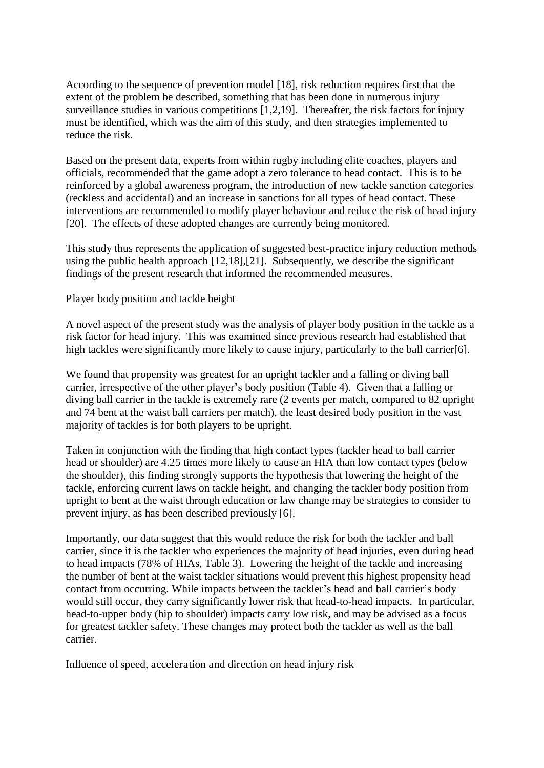According to the sequence of prevention model [18], risk reduction requires first that the extent of the problem be described, something that has been done in numerous injury surveillance studies in various competitions [1,2,19]. Thereafter, the risk factors for injury must be identified, which was the aim of this study, and then strategies implemented to reduce the risk.

Based on the present data, experts from within rugby including elite coaches, players and officials, recommended that the game adopt a zero tolerance to head contact. This is to be reinforced by a global awareness program, the introduction of new tackle sanction categories (reckless and accidental) and an increase in sanctions for all types of head contact. These interventions are recommended to modify player behaviour and reduce the risk of head injury [20]. The effects of these adopted changes are currently being monitored.

This study thus represents the application of suggested best-practice injury reduction methods using the public health approach [12,18],[21]. Subsequently, we describe the significant findings of the present research that informed the recommended measures.

Player body position and tackle height

A novel aspect of the present study was the analysis of player body position in the tackle as a risk factor for head injury. This was examined since previous research had established that high tackles were significantly more likely to cause injury, particularly to the ball carrier[6].

We found that propensity was greatest for an upright tackler and a falling or diving ball carrier, irrespective of the other player's body position (Table 4). Given that a falling or diving ball carrier in the tackle is extremely rare (2 events per match, compared to 82 upright and 74 bent at the waist ball carriers per match), the least desired body position in the vast majority of tackles is for both players to be upright.

Taken in conjunction with the finding that high contact types (tackler head to ball carrier head or shoulder) are 4.25 times more likely to cause an HIA than low contact types (below the shoulder), this finding strongly supports the hypothesis that lowering the height of the tackle, enforcing current laws on tackle height, and changing the tackler body position from upright to bent at the waist through education or law change may be strategies to consider to prevent injury, as has been described previously [6].

Importantly, our data suggest that this would reduce the risk for both the tackler and ball carrier, since it is the tackler who experiences the majority of head injuries, even during head to head impacts (78% of HIAs, Table 3). Lowering the height of the tackle and increasing the number of bent at the waist tackler situations would prevent this highest propensity head contact from occurring. While impacts between the tackler's head and ball carrier's body would still occur, they carry significantly lower risk that head-to-head impacts. In particular, head-to-upper body (hip to shoulder) impacts carry low risk, and may be advised as a focus for greatest tackler safety. These changes may protect both the tackler as well as the ball carrier.

Influence of speed, acceleration and direction on head injury risk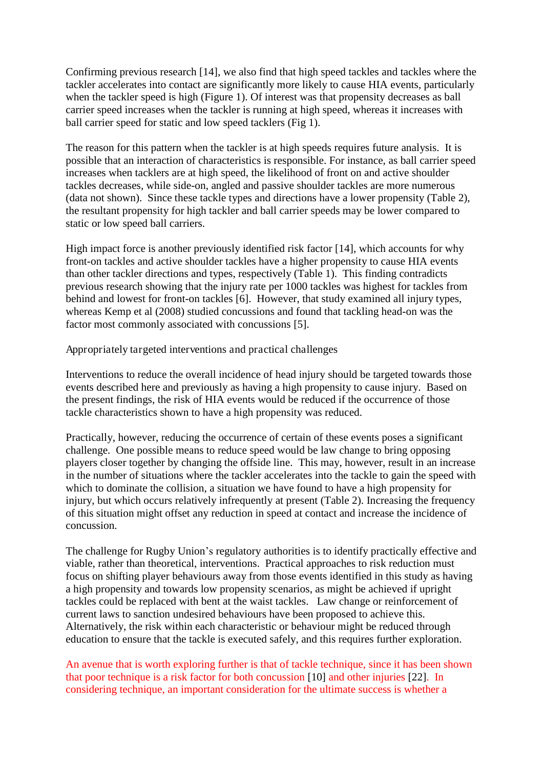Confirming previous research [14], we also find that high speed tackles and tackles where the tackler accelerates into contact are significantly more likely to cause HIA events, particularly when the tackler speed is high (Figure 1). Of interest was that propensity decreases as ball carrier speed increases when the tackler is running at high speed, whereas it increases with ball carrier speed for static and low speed tacklers (Fig 1).

The reason for this pattern when the tackler is at high speeds requires future analysis. It is possible that an interaction of characteristics is responsible. For instance, as ball carrier speed increases when tacklers are at high speed, the likelihood of front on and active shoulder tackles decreases, while side-on, angled and passive shoulder tackles are more numerous (data not shown). Since these tackle types and directions have a lower propensity (Table 2), the resultant propensity for high tackler and ball carrier speeds may be lower compared to static or low speed ball carriers.

High impact force is another previously identified risk factor [14], which accounts for why front-on tackles and active shoulder tackles have a higher propensity to cause HIA events than other tackler directions and types, respectively (Table 1). This finding contradicts previous research showing that the injury rate per 1000 tackles was highest for tackles from behind and lowest for front-on tackles [6]. However, that study examined all injury types, whereas Kemp et al (2008) studied concussions and found that tackling head-on was the factor most commonly associated with concussions [5].

Appropriately targeted interventions and practical challenges

Interventions to reduce the overall incidence of head injury should be targeted towards those events described here and previously as having a high propensity to cause injury. Based on the present findings, the risk of HIA events would be reduced if the occurrence of those tackle characteristics shown to have a high propensity was reduced.

Practically, however, reducing the occurrence of certain of these events poses a significant challenge. One possible means to reduce speed would be law change to bring opposing players closer together by changing the offside line. This may, however, result in an increase in the number of situations where the tackler accelerates into the tackle to gain the speed with which to dominate the collision, a situation we have found to have a high propensity for injury, but which occurs relatively infrequently at present (Table 2). Increasing the frequency of this situation might offset any reduction in speed at contact and increase the incidence of concussion.

The challenge for Rugby Union's regulatory authorities is to identify practically effective and viable, rather than theoretical, interventions. Practical approaches to risk reduction must focus on shifting player behaviours away from those events identified in this study as having a high propensity and towards low propensity scenarios, as might be achieved if upright tackles could be replaced with bent at the waist tackles. Law change or reinforcement of current laws to sanction undesired behaviours have been proposed to achieve this. Alternatively, the risk within each characteristic or behaviour might be reduced through education to ensure that the tackle is executed safely, and this requires further exploration.

An avenue that is worth exploring further is that of tackle technique, since it has been shown that poor technique is a risk factor for both concussion [10] and other injuries [22]. In considering technique, an important consideration for the ultimate success is whether a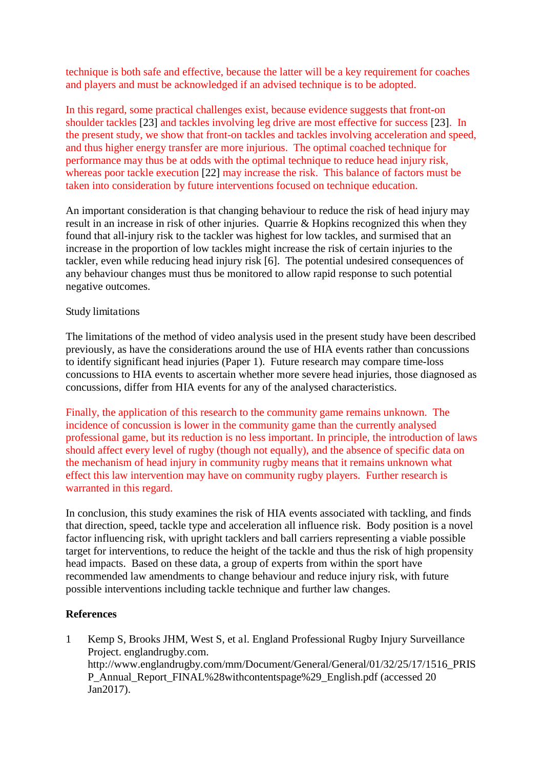technique is both safe and effective, because the latter will be a key requirement for coaches and players and must be acknowledged if an advised technique is to be adopted.

In this regard, some practical challenges exist, because evidence suggests that front-on shoulder tackles [23] and tackles involving leg drive are most effective for success [23]. In the present study, we show that front-on tackles and tackles involving acceleration and speed, and thus higher energy transfer are more injurious. The optimal coached technique for performance may thus be at odds with the optimal technique to reduce head injury risk, whereas poor tackle execution [22] may increase the risk. This balance of factors must be taken into consideration by future interventions focused on technique education.

An important consideration is that changing behaviour to reduce the risk of head injury may result in an increase in risk of other injuries. Quarrie & Hopkins recognized this when they found that all-injury risk to the tackler was highest for low tackles, and surmised that an increase in the proportion of low tackles might increase the risk of certain injuries to the tackler, even while reducing head injury risk [6]. The potential undesired consequences of any behaviour changes must thus be monitored to allow rapid response to such potential negative outcomes.

### Study limitations

The limitations of the method of video analysis used in the present study have been described previously, as have the considerations around the use of HIA events rather than concussions to identify significant head injuries (Paper 1). Future research may compare time-loss concussions to HIA events to ascertain whether more severe head injuries, those diagnosed as concussions, differ from HIA events for any of the analysed characteristics.

Finally, the application of this research to the community game remains unknown. The incidence of concussion is lower in the community game than the currently analysed professional game, but its reduction is no less important. In principle, the introduction of laws should affect every level of rugby (though not equally), and the absence of specific data on the mechanism of head injury in community rugby means that it remains unknown what effect this law intervention may have on community rugby players. Further research is warranted in this regard.

In conclusion, this study examines the risk of HIA events associated with tackling, and finds that direction, speed, tackle type and acceleration all influence risk. Body position is a novel factor influencing risk, with upright tacklers and ball carriers representing a viable possible target for interventions, to reduce the height of the tackle and thus the risk of high propensity head impacts. Based on these data, a group of experts from within the sport have recommended law amendments to change behaviour and reduce injury risk, with future possible interventions including tackle technique and further law changes.

## **References**

1 Kemp S, Brooks JHM, West S, et al. England Professional Rugby Injury Surveillance Project. englandrugby.com. http://www.englandrugby.com/mm/Document/General/General/01/32/25/17/1516\_PRIS P\_Annual\_Report\_FINAL%28withcontentspage%29\_English.pdf (accessed 20 Jan2017).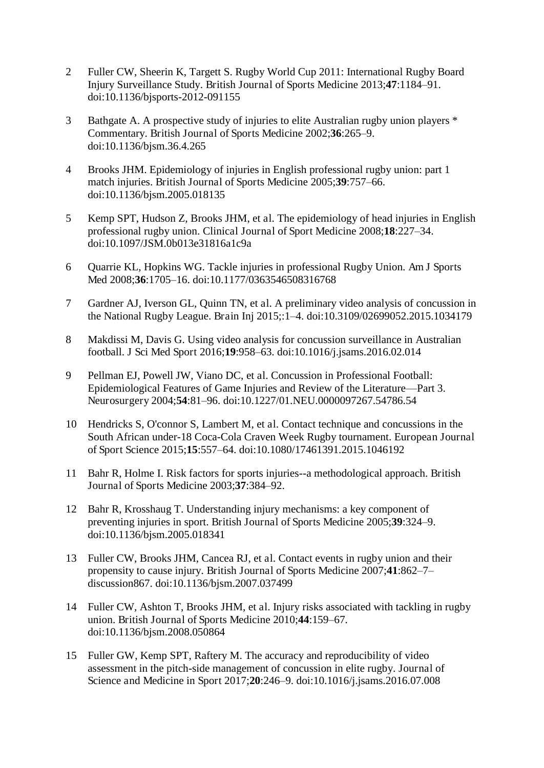- 2 Fuller CW, Sheerin K, Targett S. Rugby World Cup 2011: International Rugby Board Injury Surveillance Study. British Journal of Sports Medicine 2013;**47**:1184–91. doi:10.1136/bjsports-2012-091155
- 3 Bathgate A. A prospective study of injuries to elite Australian rugby union players \* Commentary. British Journal of Sports Medicine 2002;**36**:265–9. doi:10.1136/bjsm.36.4.265
- 4 Brooks JHM. Epidemiology of injuries in English professional rugby union: part 1 match injuries. British Journal of Sports Medicine 2005;**39**:757–66. doi:10.1136/bjsm.2005.018135
- 5 Kemp SPT, Hudson Z, Brooks JHM, et al. The epidemiology of head injuries in English professional rugby union. Clinical Journal of Sport Medicine 2008;**18**:227–34. doi:10.1097/JSM.0b013e31816a1c9a
- 6 Quarrie KL, Hopkins WG. Tackle injuries in professional Rugby Union. Am J Sports Med 2008;**36**:1705–16. doi:10.1177/0363546508316768
- 7 Gardner AJ, Iverson GL, Quinn TN, et al. A preliminary video analysis of concussion in the National Rugby League. Brain Inj 2015;:1–4. doi:10.3109/02699052.2015.1034179
- 8 Makdissi M, Davis G. Using video analysis for concussion surveillance in Australian football. J Sci Med Sport 2016;**19**:958–63. doi:10.1016/j.jsams.2016.02.014
- 9 Pellman EJ, Powell JW, Viano DC, et al. Concussion in Professional Football: Epidemiological Features of Game Injuries and Review of the Literature—Part 3. Neurosurgery 2004;**54**:81–96. doi:10.1227/01.NEU.0000097267.54786.54
- 10 Hendricks S, O'connor S, Lambert M, et al. Contact technique and concussions in the South African under-18 Coca-Cola Craven Week Rugby tournament. European Journal of Sport Science 2015;**15**:557–64. doi:10.1080/17461391.2015.1046192
- 11 Bahr R, Holme I. Risk factors for sports injuries--a methodological approach. British Journal of Sports Medicine 2003;**37**:384–92.
- 12 Bahr R, Krosshaug T. Understanding injury mechanisms: a key component of preventing injuries in sport. British Journal of Sports Medicine 2005;**39**:324–9. doi:10.1136/bjsm.2005.018341
- 13 Fuller CW, Brooks JHM, Cancea RJ, et al. Contact events in rugby union and their propensity to cause injury. British Journal of Sports Medicine 2007;**41**:862–7– discussion867. doi:10.1136/bjsm.2007.037499
- 14 Fuller CW, Ashton T, Brooks JHM, et al. Injury risks associated with tackling in rugby union. British Journal of Sports Medicine 2010;**44**:159–67. doi:10.1136/bjsm.2008.050864
- 15 Fuller GW, Kemp SPT, Raftery M. The accuracy and reproducibility of video assessment in the pitch-side management of concussion in elite rugby. Journal of Science and Medicine in Sport 2017;**20**:246–9. doi:10.1016/j.jsams.2016.07.008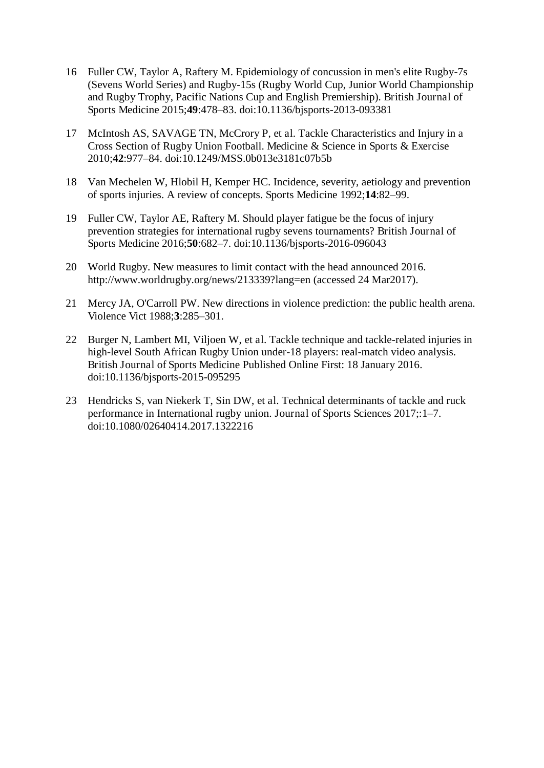- 16 Fuller CW, Taylor A, Raftery M. Epidemiology of concussion in men's elite Rugby-7s (Sevens World Series) and Rugby-15s (Rugby World Cup, Junior World Championship and Rugby Trophy, Pacific Nations Cup and English Premiership). British Journal of Sports Medicine 2015;**49**:478–83. doi:10.1136/bjsports-2013-093381
- 17 McIntosh AS, SAVAGE TN, McCrory P, et al. Tackle Characteristics and Injury in a Cross Section of Rugby Union Football. Medicine & Science in Sports & Exercise 2010;**42**:977–84. doi:10.1249/MSS.0b013e3181c07b5b
- 18 Van Mechelen W, Hlobil H, Kemper HC. Incidence, severity, aetiology and prevention of sports injuries. A review of concepts. Sports Medicine 1992;**14**:82–99.
- 19 Fuller CW, Taylor AE, Raftery M. Should player fatigue be the focus of injury prevention strategies for international rugby sevens tournaments? British Journal of Sports Medicine 2016;**50**:682–7. doi:10.1136/bjsports-2016-096043
- 20 World Rugby. New measures to limit contact with the head announced 2016. http://www.worldrugby.org/news/213339?lang=en (accessed 24 Mar2017).
- 21 Mercy JA, O'Carroll PW. New directions in violence prediction: the public health arena. Violence Vict 1988;**3**:285–301.
- 22 Burger N, Lambert MI, Viljoen W, et al. Tackle technique and tackle-related injuries in high-level South African Rugby Union under-18 players: real-match video analysis. British Journal of Sports Medicine Published Online First: 18 January 2016. doi:10.1136/bjsports-2015-095295
- 23 Hendricks S, van Niekerk T, Sin DW, et al. Technical determinants of tackle and ruck performance in International rugby union. Journal of Sports Sciences 2017;:1–7. doi:10.1080/02640414.2017.1322216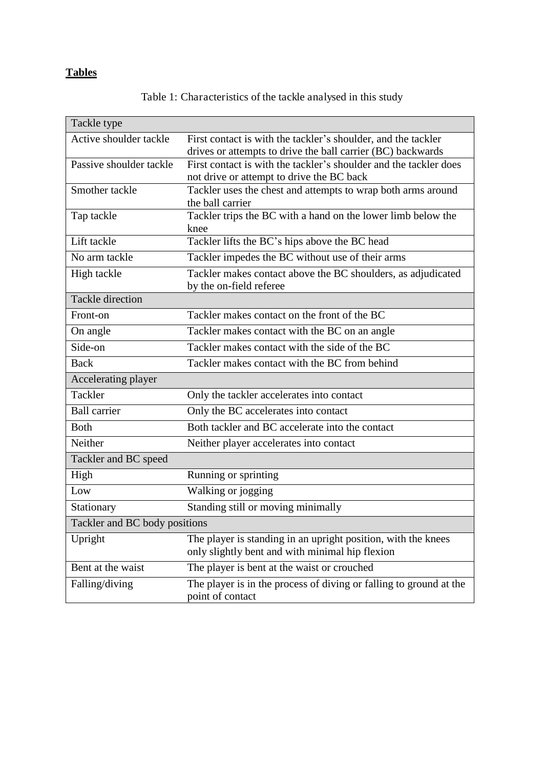# **Tables**

Table 1: Characteristics of the tackle analysed in this study

| Tackle type                   |                                                                                                                              |  |  |  |  |  |
|-------------------------------|------------------------------------------------------------------------------------------------------------------------------|--|--|--|--|--|
| Active shoulder tackle        | First contact is with the tackler's shoulder, and the tackler<br>drives or attempts to drive the ball carrier (BC) backwards |  |  |  |  |  |
| Passive shoulder tackle       | First contact is with the tackler's shoulder and the tackler does                                                            |  |  |  |  |  |
|                               | not drive or attempt to drive the BC back                                                                                    |  |  |  |  |  |
| Smother tackle                | Tackler uses the chest and attempts to wrap both arms around<br>the ball carrier                                             |  |  |  |  |  |
| Tap tackle                    | Tackler trips the BC with a hand on the lower limb below the<br>knee                                                         |  |  |  |  |  |
| Lift tackle                   | Tackler lifts the BC's hips above the BC head                                                                                |  |  |  |  |  |
| No arm tackle                 | Tackler impedes the BC without use of their arms                                                                             |  |  |  |  |  |
| High tackle                   | Tackler makes contact above the BC shoulders, as adjudicated<br>by the on-field referee                                      |  |  |  |  |  |
| <b>Tackle direction</b>       |                                                                                                                              |  |  |  |  |  |
| Front-on                      | Tackler makes contact on the front of the BC                                                                                 |  |  |  |  |  |
| On angle                      | Tackler makes contact with the BC on an angle                                                                                |  |  |  |  |  |
| Side-on                       | Tackler makes contact with the side of the BC                                                                                |  |  |  |  |  |
| <b>Back</b>                   | Tackler makes contact with the BC from behind                                                                                |  |  |  |  |  |
| Accelerating player           |                                                                                                                              |  |  |  |  |  |
| Tackler                       | Only the tackler accelerates into contact                                                                                    |  |  |  |  |  |
| <b>Ball carrier</b>           | Only the BC accelerates into contact                                                                                         |  |  |  |  |  |
| <b>Both</b>                   | Both tackler and BC accelerate into the contact                                                                              |  |  |  |  |  |
| Neither                       | Neither player accelerates into contact                                                                                      |  |  |  |  |  |
| Tackler and BC speed          |                                                                                                                              |  |  |  |  |  |
| High                          | Running or sprinting                                                                                                         |  |  |  |  |  |
| Low                           | Walking or jogging                                                                                                           |  |  |  |  |  |
| Stationary                    | Standing still or moving minimally                                                                                           |  |  |  |  |  |
| Tackler and BC body positions |                                                                                                                              |  |  |  |  |  |
| Upright                       | The player is standing in an upright position, with the knees<br>only slightly bent and with minimal hip flexion             |  |  |  |  |  |
| Bent at the waist             | The player is bent at the waist or crouched                                                                                  |  |  |  |  |  |
| Falling/diving                | The player is in the process of diving or falling to ground at the<br>point of contact                                       |  |  |  |  |  |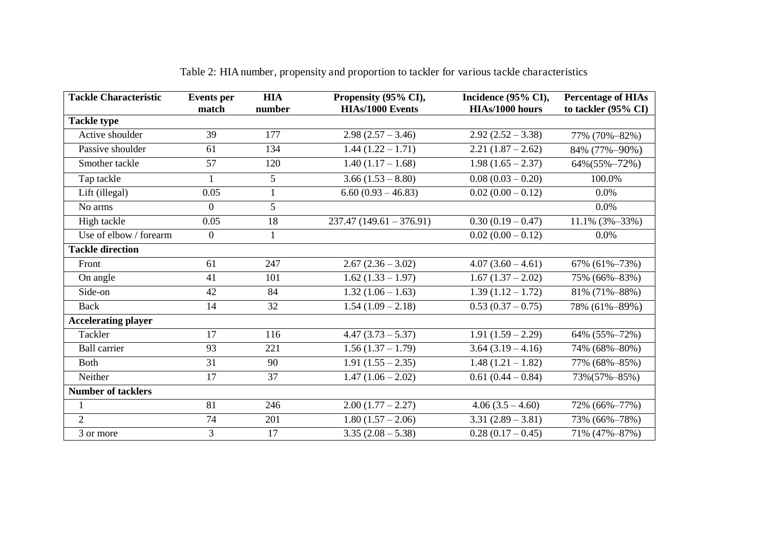| <b>Tackle Characteristic</b> | <b>Events</b> per | <b>HIA</b>      | Propensity (95% CI),      | Incidence (95% CI), | <b>Percentage of HIAs</b>      |  |
|------------------------------|-------------------|-----------------|---------------------------|---------------------|--------------------------------|--|
|                              | match             | number          | <b>HIAs/1000 Events</b>   | HIAs/1000 hours     | to tackler $(95\% \text{ CI})$ |  |
| <b>Tackle type</b>           |                   |                 |                           |                     |                                |  |
| Active shoulder              | 39                | 177             | $2.98(2.57 - 3.46)$       | $2.92(2.52 - 3.38)$ | 77% (70%-82%)                  |  |
| Passive shoulder             | 61                | 134             | $1.44(1.22 - 1.71)$       | $2.21(1.87-2.62)$   | 84% (77%-90%)                  |  |
| Smother tackle               | 57                | 120             | $1.40(1.17 - 1.68)$       | $1.98(1.65 - 2.37)$ | $64\% (55\% - 72\%)$           |  |
| Tap tackle                   | $\mathbf{1}$      | $5\overline{)}$ | $3.66(1.53 - 8.80)$       | $0.08(0.03-0.20)$   | 100.0%                         |  |
| Lift (illegal)               | 0.05              | $\mathbf{1}$    | $6.60(0.93 - 46.83)$      | $0.02(0.00-0.12)$   | $0.0\%$                        |  |
| No arms                      | $\theta$          | 5               |                           |                     | $0.0\%$                        |  |
| High tackle                  | 0.05              | 18              | $237.47(149.61 - 376.91)$ | $0.30(0.19-0.47)$   | $11.1\%$ (3%-33%)              |  |
| Use of elbow / forearm       | $\overline{0}$    | $\mathbf{1}$    |                           | $0.02(0.00 - 0.12)$ | 0.0%                           |  |
| <b>Tackle direction</b>      |                   |                 |                           |                     |                                |  |
| Front                        | 61                | 247             | $2.67(2.36-3.02)$         | $4.07(3.60-4.61)$   | 67% $(61\% - 73\%)$            |  |
| On angle                     | 41                | 101             | $1.62(1.33 - 1.97)$       | $1.67(1.37-2.02)$   | 75% (66%-83%)                  |  |
| Side-on                      | 42                | 84              | $1.32(1.06 - 1.63)$       | $1.39(1.12 - 1.72)$ | 81% (71%-88%)                  |  |
| Back                         | 14                | 32              | $1.54(1.09 - 2.18)$       | $0.53(0.37-0.75)$   | 78% (61%-89%)                  |  |
| <b>Accelerating player</b>   |                   |                 |                           |                     |                                |  |
| Tackler                      | 17                | 116             | $4.47(3.73 - 5.37)$       | $1.91(1.59 - 2.29)$ | 64% (55%-72%)                  |  |
| <b>Ball carrier</b>          | 93                | 221             | $1.56(1.37-1.79)$         | $3.64(3.19-4.16)$   | 74% (68%-80%)                  |  |
| <b>Both</b>                  | 31                | 90              | $1.91(1.55 - 2.35)$       | $1.48(1.21 - 1.82)$ | 77% (68%-85%)                  |  |
| Neither                      | 17                | 37              | $1.47(1.06 - 2.02)$       | $0.61(0.44-0.84)$   | 73%(57%-85%)                   |  |
| <b>Number of tacklers</b>    |                   |                 |                           |                     |                                |  |
|                              | 81                | 246             | $2.00(1.77 - 2.27)$       | $4.06(3.5-4.60)$    | 72% (66%-77%)                  |  |
| $\overline{2}$               | 74                | 201             | $1.80(1.57 - 2.06)$       | $3.31(2.89 - 3.81)$ | 73% (66%-78%)                  |  |
| 3 or more                    | $\overline{3}$    | 17              | $3.35(2.08 - 5.38)$       | $0.28(0.17-0.45)$   | 71% (47%-87%)                  |  |

| Table 2: HIA number, propensity and proportion to tackler for various tackle characteristics |  |  |  |
|----------------------------------------------------------------------------------------------|--|--|--|
|                                                                                              |  |  |  |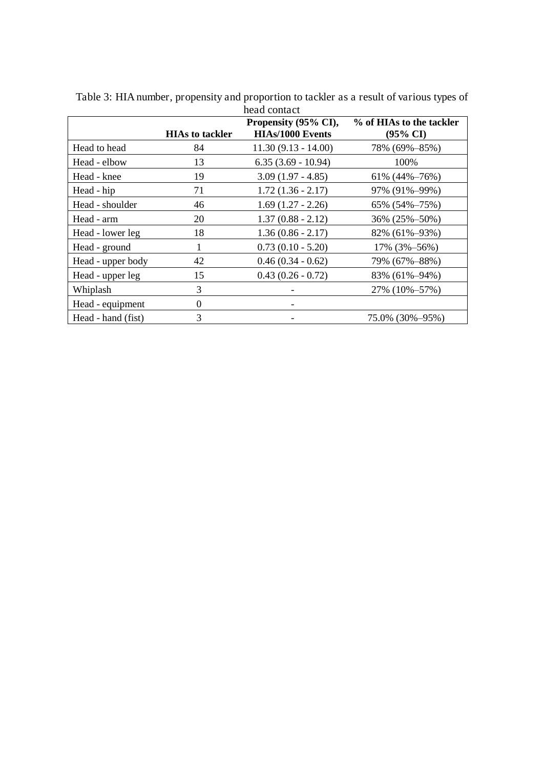| head contact<br>Propensity (95% CI),<br>% of HIAs to the tackler |                        |                         |                        |  |  |  |  |
|------------------------------------------------------------------|------------------------|-------------------------|------------------------|--|--|--|--|
|                                                                  | <b>HIAs to tackler</b> | <b>HIAs/1000 Events</b> | $(95\% \text{ CI})$    |  |  |  |  |
| Head to head                                                     | 84                     | $11.30(9.13 - 14.00)$   | 78% (69%-85%)          |  |  |  |  |
| Head - elbow                                                     | 13                     | $6.35(3.69 - 10.94)$    | 100%                   |  |  |  |  |
| Head - knee                                                      | 19                     | $3.09(1.97 - 4.85)$     | 61% $(44\% - 76\%)$    |  |  |  |  |
| Head - hip                                                       | 71                     | $1.72(1.36 - 2.17)$     | 97% (91%-99%)          |  |  |  |  |
| Head - shoulder                                                  | 46                     | $1.69(1.27 - 2.26)$     | $65\%$ $(54\% - 75\%)$ |  |  |  |  |
| Head - arm                                                       | 20                     | $1.37(0.88 - 2.12)$     | 36% (25%-50%)          |  |  |  |  |
| Head - lower leg                                                 | 18                     | $1.36(0.86 - 2.17)$     | 82% (61%-93%)          |  |  |  |  |
| Head - ground                                                    | 1                      | $0.73(0.10 - 5.20)$     | 17% (3%-56%)           |  |  |  |  |
| Head - upper body                                                | 42                     | $0.46(0.34 - 0.62)$     | 79% (67%–88%)          |  |  |  |  |
| Head - upper leg                                                 | 15                     | $0.43(0.26 - 0.72)$     | 83% (61%-94%)          |  |  |  |  |
| Whiplash                                                         | 3                      |                         | 27% (10%-57%)          |  |  |  |  |
| Head - equipment                                                 | $\theta$               |                         |                        |  |  |  |  |
| Head - hand (fist)                                               | 3                      |                         | 75.0% (30%-95%)        |  |  |  |  |

Table 3: HIA number, propensity and proportion to tackler as a result of various types of